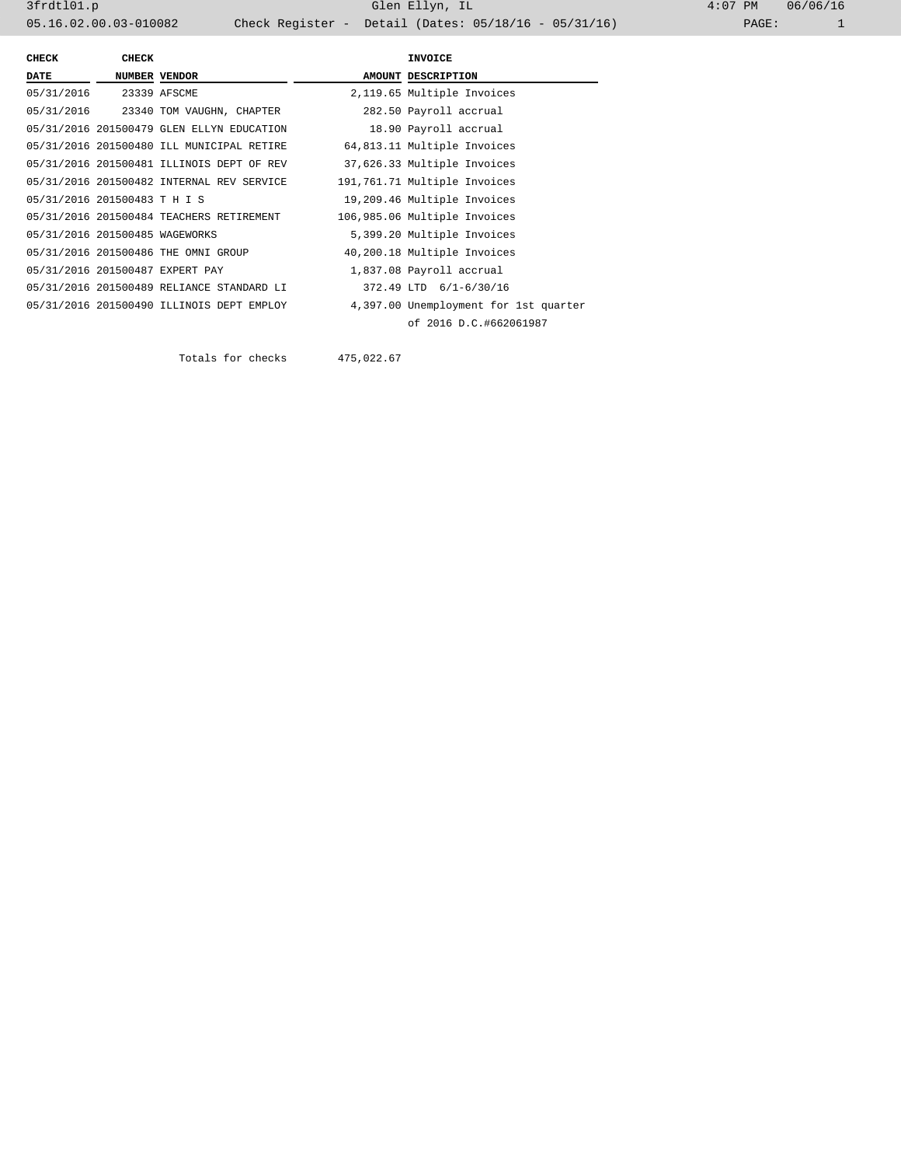3frdtl01.p Glen Ellyn, IL 4:07 PM 06/06/16 05.16.02.00.03-010082 Check Register - Detail (Dates: 05/18/16 - 05/31/16)

| <b>CHECK</b>                   | <b>CHECK</b> |                                           |  | <b>INVOICE</b>                        |  |
|--------------------------------|--------------|-------------------------------------------|--|---------------------------------------|--|
| <b>DATE</b>                    |              | <b>NUMBER VENDOR</b>                      |  | AMOUNT DESCRIPTION                    |  |
| 05/31/2016 23339 AFSCME        |              |                                           |  | 2,119.65 Multiple Invoices            |  |
|                                |              | 05/31/2016 23340 TOM VAUGHN, CHAPTER      |  | 282.50 Payroll accrual                |  |
|                                |              | 05/31/2016 201500479 GLEN ELLYN EDUCATION |  | 18.90 Payroll accrual                 |  |
|                                |              | 05/31/2016 201500480 ILL MUNICIPAL RETIRE |  | 64,813.11 Multiple Invoices           |  |
|                                |              | 05/31/2016 201500481 ILLINOIS DEPT OF REV |  | 37,626.33 Multiple Invoices           |  |
|                                |              | 05/31/2016 201500482 INTERNAL REV SERVICE |  | 191,761.71 Multiple Invoices          |  |
| 05/31/2016 201500483 T H I S   |              |                                           |  | 19,209.46 Multiple Invoices           |  |
|                                |              | 05/31/2016 201500484 TEACHERS RETIREMENT  |  | 106,985.06 Multiple Invoices          |  |
| 05/31/2016 201500485 WAGEWORKS |              |                                           |  | 5,399.20 Multiple Invoices            |  |
|                                |              | 05/31/2016 201500486 THE OMNI GROUP       |  | 40,200.18 Multiple Invoices           |  |
|                                |              | 05/31/2016 201500487 EXPERT PAY           |  | 1,837.08 Payroll accrual              |  |
|                                |              | 05/31/2016 201500489 RELIANCE STANDARD LI |  | 372.49 LTD 6/1-6/30/16                |  |
|                                |              | 05/31/2016 201500490 ILLINOIS DEPT EMPLOY |  | 4,397.00 Unemployment for 1st quarter |  |
|                                |              |                                           |  | of 2016 D.C.#662061987                |  |

Totals for checks 475,022.67